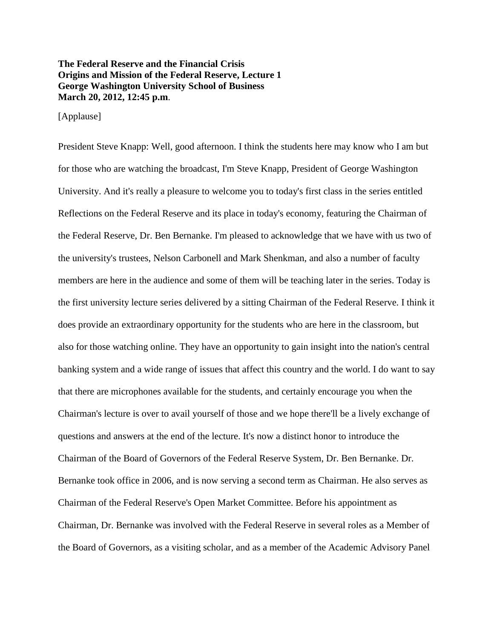## **The Federal Reserve and the Financial Crisis [Origins and Mission of the Federal Reserve,](http://www.federalreserve.gov/newsevents/lectures/origins-and-mission.htm) Lecture 1 George Washington University School of Business March 20, 2012, 12:45 p.m**.

[Applause]

President Steve Knapp: Well, good afternoon. I think the students here may know who I am but for those who are watching the broadcast, I'm Steve Knapp, President of George Washington University. And it's really a pleasure to welcome you to today's first class in the series entitled Reflections on the Federal Reserve and its place in today's economy, featuring the Chairman of the Federal Reserve, Dr. Ben Bernanke. I'm pleased to acknowledge that we have with us two of the university's trustees, Nelson Carbonell and Mark Shenkman, and also a number of faculty members are here in the audience and some of them will be teaching later in the series. Today is the first university lecture series delivered by a sitting Chairman of the Federal Reserve. I think it does provide an extraordinary opportunity for the students who are here in the classroom, but also for those watching online. They have an opportunity to gain insight into the nation's central banking system and a wide range of issues that affect this country and the world. I do want to say that there are microphones available for the students, and certainly encourage you when the Chairman's lecture is over to avail yourself of those and we hope there'll be a lively exchange of questions and answers at the end of the lecture. It's now a distinct honor to introduce the Chairman of the Board of Governors of the Federal Reserve System, Dr. Ben Bernanke. Dr. Bernanke took office in 2006, and is now serving a second term as Chairman. He also serves as Chairman of the Federal Reserve's Open Market Committee. Before his appointment as Chairman, Dr. Bernanke was involved with the Federal Reserve in several roles as a Member of the Board of Governors, as a visiting scholar, and as a member of the Academic Advisory Panel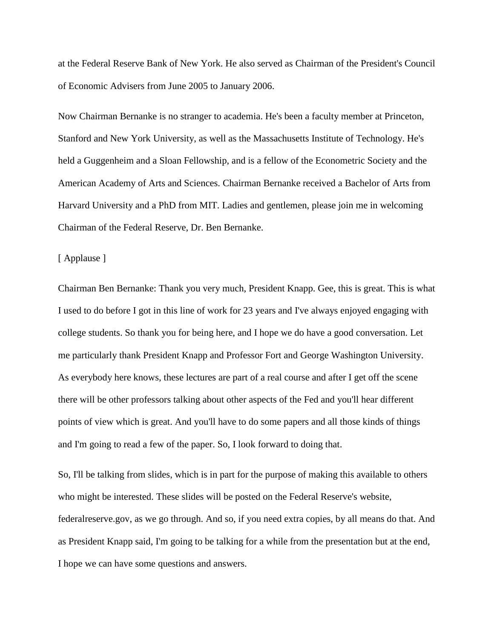at the Federal Reserve Bank of New York. He also served as Chairman of the President's Council of Economic Advisers from June 2005 to January 2006.

Now Chairman Bernanke is no stranger to academia. He's been a faculty member at Princeton, Stanford and New York University, as well as the Massachusetts Institute of Technology. He's held a Guggenheim and a Sloan Fellowship, and is a fellow of the Econometric Society and the American Academy of Arts and Sciences. Chairman Bernanke received a Bachelor of Arts from Harvard University and a PhD from MIT. Ladies and gentlemen, please join me in welcoming Chairman of the Federal Reserve, Dr. Ben Bernanke.

## [ Applause ]

Chairman Ben Bernanke: Thank you very much, President Knapp. Gee, this is great. This is what I used to do before I got in this line of work for 23 years and I've always enjoyed engaging with college students. So thank you for being here, and I hope we do have a good conversation. Let me particularly thank President Knapp and Professor Fort and George Washington University. As everybody here knows, these lectures are part of a real course and after I get off the scene there will be other professors talking about other aspects of the Fed and you'll hear different points of view which is great. And you'll have to do some papers and all those kinds of things and I'm going to read a few of the paper. So, I look forward to doing that.

So, I'll be talking from slides, which is in part for the purpose of making this available to others who might be interested. These slides will be posted on the Federal Reserve's website, federalreserve.gov, as we go through. And so, if you need extra copies, by all means do that. And as President Knapp said, I'm going to be talking for a while from the presentation but at the end, I hope we can have some questions and answers.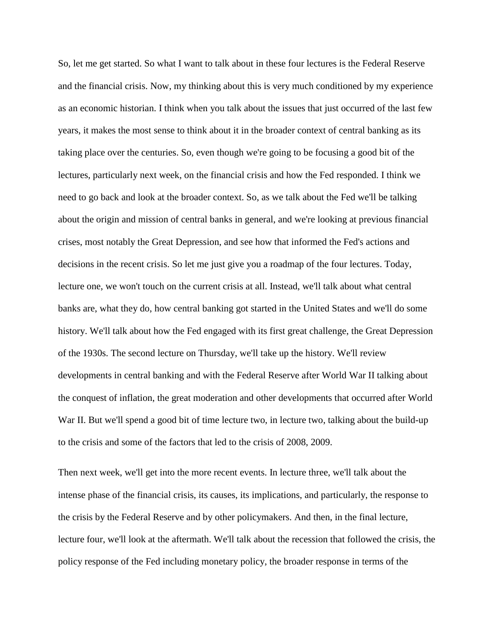So, let me get started. So what I want to talk about in these four lectures is the Federal Reserve and the financial crisis. Now, my thinking about this is very much conditioned by my experience as an economic historian. I think when you talk about the issues that just occurred of the last few years, it makes the most sense to think about it in the broader context of central banking as its taking place over the centuries. So, even though we're going to be focusing a good bit of the lectures, particularly next week, on the financial crisis and how the Fed responded. I think we need to go back and look at the broader context. So, as we talk about the Fed we'll be talking about the origin and mission of central banks in general, and we're looking at previous financial crises, most notably the Great Depression, and see how that informed the Fed's actions and decisions in the recent crisis. So let me just give you a roadmap of the four lectures. Today, lecture one, we won't touch on the current crisis at all. Instead, we'll talk about what central banks are, what they do, how central banking got started in the United States and we'll do some history. We'll talk about how the Fed engaged with its first great challenge, the Great Depression of the 1930s. The second lecture on Thursday, we'll take up the history. We'll review developments in central banking and with the Federal Reserve after World War II talking about the conquest of inflation, the great moderation and other developments that occurred after World War II. But we'll spend a good bit of time lecture two, in lecture two, talking about the build-up to the crisis and some of the factors that led to the crisis of 2008, 2009.

Then next week, we'll get into the more recent events. In lecture three, we'll talk about the intense phase of the financial crisis, its causes, its implications, and particularly, the response to the crisis by the Federal Reserve and by other policymakers. And then, in the final lecture, lecture four, we'll look at the aftermath. We'll talk about the recession that followed the crisis, the policy response of the Fed including monetary policy, the broader response in terms of the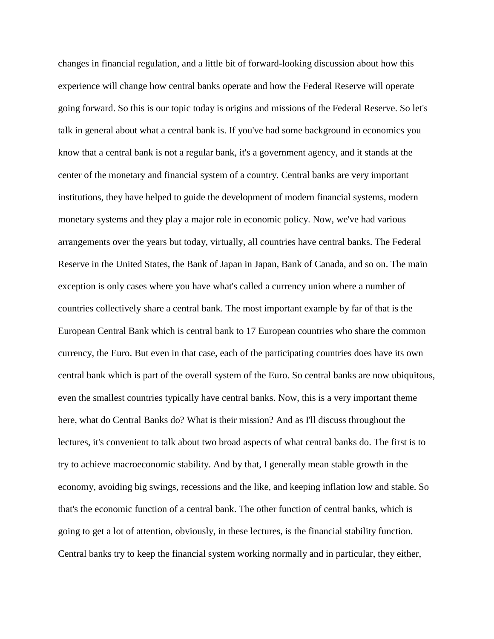changes in financial regulation, and a little bit of forward-looking discussion about how this experience will change how central banks operate and how the Federal Reserve will operate going forward. So this is our topic today is origins and missions of the Federal Reserve. So let's talk in general about what a central bank is. If you've had some background in economics you know that a central bank is not a regular bank, it's a government agency, and it stands at the center of the monetary and financial system of a country. Central banks are very important institutions, they have helped to guide the development of modern financial systems, modern monetary systems and they play a major role in economic policy. Now, we've had various arrangements over the years but today, virtually, all countries have central banks. The Federal Reserve in the United States, the Bank of Japan in Japan, Bank of Canada, and so on. The main exception is only cases where you have what's called a currency union where a number of countries collectively share a central bank. The most important example by far of that is the European Central Bank which is central bank to 17 European countries who share the common currency, the Euro. But even in that case, each of the participating countries does have its own central bank which is part of the overall system of the Euro. So central banks are now ubiquitous, even the smallest countries typically have central banks. Now, this is a very important theme here, what do Central Banks do? What is their mission? And as I'll discuss throughout the lectures, it's convenient to talk about two broad aspects of what central banks do. The first is to try to achieve macroeconomic stability. And by that, I generally mean stable growth in the economy, avoiding big swings, recessions and the like, and keeping inflation low and stable. So that's the economic function of a central bank. The other function of central banks, which is going to get a lot of attention, obviously, in these lectures, is the financial stability function. Central banks try to keep the financial system working normally and in particular, they either,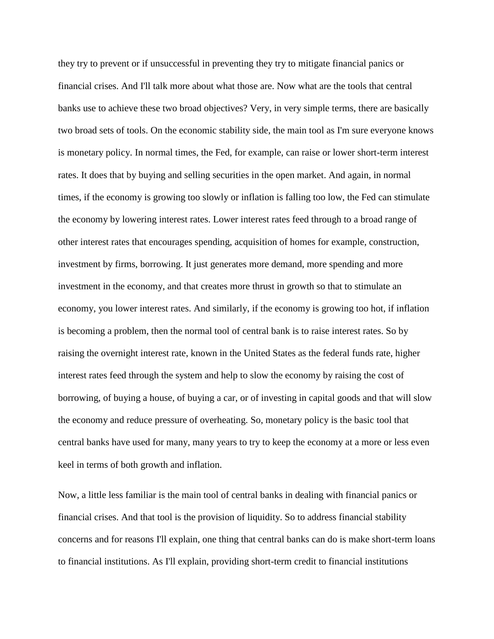they try to prevent or if unsuccessful in preventing they try to mitigate financial panics or financial crises. And I'll talk more about what those are. Now what are the tools that central banks use to achieve these two broad objectives? Very, in very simple terms, there are basically two broad sets of tools. On the economic stability side, the main tool as I'm sure everyone knows is monetary policy. In normal times, the Fed, for example, can raise or lower short-term interest rates. It does that by buying and selling securities in the open market. And again, in normal times, if the economy is growing too slowly or inflation is falling too low, the Fed can stimulate the economy by lowering interest rates. Lower interest rates feed through to a broad range of other interest rates that encourages spending, acquisition of homes for example, construction, investment by firms, borrowing. It just generates more demand, more spending and more investment in the economy, and that creates more thrust in growth so that to stimulate an economy, you lower interest rates. And similarly, if the economy is growing too hot, if inflation is becoming a problem, then the normal tool of central bank is to raise interest rates. So by raising the overnight interest rate, known in the United States as the federal funds rate, higher interest rates feed through the system and help to slow the economy by raising the cost of borrowing, of buying a house, of buying a car, or of investing in capital goods and that will slow the economy and reduce pressure of overheating. So, monetary policy is the basic tool that central banks have used for many, many years to try to keep the economy at a more or less even keel in terms of both growth and inflation.

Now, a little less familiar is the main tool of central banks in dealing with financial panics or financial crises. And that tool is the provision of liquidity. So to address financial stability concerns and for reasons I'll explain, one thing that central banks can do is make short-term loans to financial institutions. As I'll explain, providing short-term credit to financial institutions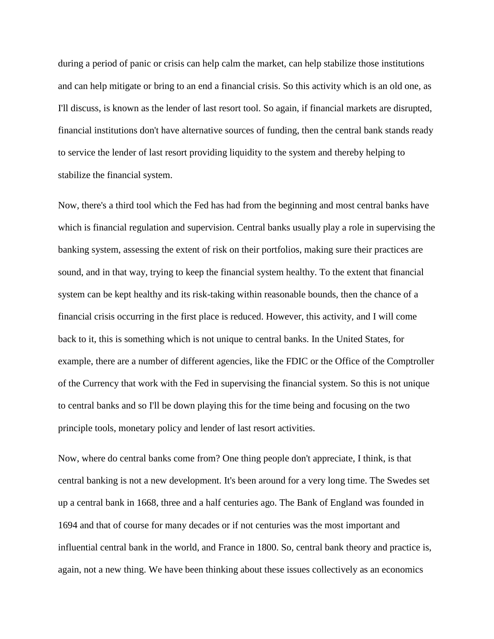during a period of panic or crisis can help calm the market, can help stabilize those institutions and can help mitigate or bring to an end a financial crisis. So this activity which is an old one, as I'll discuss, is known as the lender of last resort tool. So again, if financial markets are disrupted, financial institutions don't have alternative sources of funding, then the central bank stands ready to service the lender of last resort providing liquidity to the system and thereby helping to stabilize the financial system.

Now, there's a third tool which the Fed has had from the beginning and most central banks have which is financial regulation and supervision. Central banks usually play a role in supervising the banking system, assessing the extent of risk on their portfolios, making sure their practices are sound, and in that way, trying to keep the financial system healthy. To the extent that financial system can be kept healthy and its risk-taking within reasonable bounds, then the chance of a financial crisis occurring in the first place is reduced. However, this activity, and I will come back to it, this is something which is not unique to central banks. In the United States, for example, there are a number of different agencies, like the FDIC or the Office of the Comptroller of the Currency that work with the Fed in supervising the financial system. So this is not unique to central banks and so I'll be down playing this for the time being and focusing on the two principle tools, monetary policy and lender of last resort activities.

Now, where do central banks come from? One thing people don't appreciate, I think, is that central banking is not a new development. It's been around for a very long time. The Swedes set up a central bank in 1668, three and a half centuries ago. The Bank of England was founded in 1694 and that of course for many decades or if not centuries was the most important and influential central bank in the world, and France in 1800. So, central bank theory and practice is, again, not a new thing. We have been thinking about these issues collectively as an economics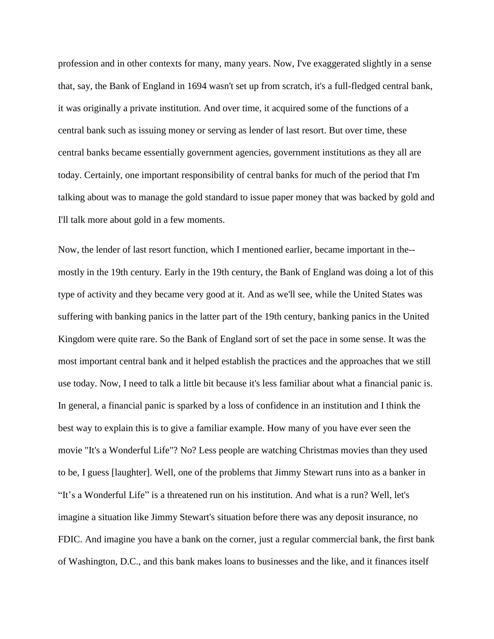profession and in other contexts for many, many years. Now, I've exaggerated slightly in a sense that, say, the Bank of England in 1694 wasn't set up from scratch, it's a full-fledged central bank, it was originally a private institution. And over time, it acquired some of the functions of a central bank such as issuing money or serving as lender of last resort. But over time, these central banks became essentially government agencies, government institutions as they all are today. Certainly, one important responsibility of central banks for much of the period that I'm talking about was to manage the gold standard to issue paper money that was backed by gold and I'll talk more about gold in a few moments.

Now, the lender of last resort function, which I mentioned earlier, became important in the- mostly in the 19th century. Early in the 19th century, the Bank of England was doing a lot of this type of activity and they became very good at it. And as we'll see, while the United States was suffering with banking panics in the latter part of the 19th century, banking panics in the United Kingdom were quite rare. So the Bank of England sort of set the pace in some sense. It was the most important central bank and it helped establish the practices and the approaches that we still use today. Now, I need to talk a little bit because it's less familiar about what a financial panic is. In general, a financial panic is sparked by a loss of confidence in an institution and I think the best way to explain this is to give a familiar example. How many of you have ever seen the movie "It's a Wonderful Life"? No? Less people are watching Christmas movies than they used to be, I guess [laughter]. Well, one of the problems that Jimmy Stewart runs into as a banker in "It's a Wonderful Life" is a threatened run on his institution. And what is a run? Well, let's imagine a situation like Jimmy Stewart's situation before there was any deposit insurance, no FDIC. And imagine you have a bank on the corner, just a regular commercial bank, the first bank of Washington, D.C., and this bank makes loans to businesses and the like, and it finances itself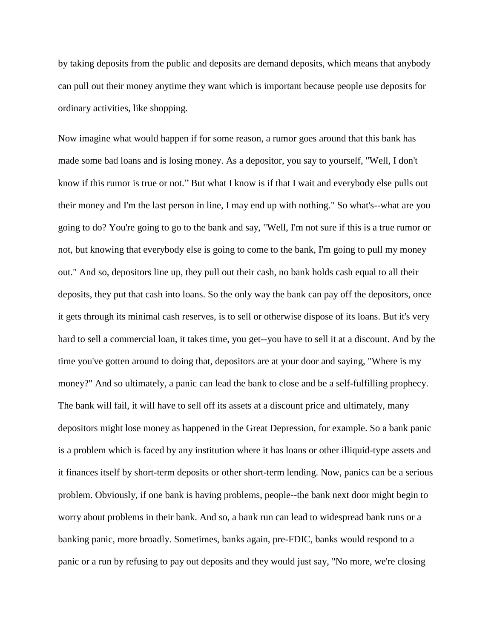by taking deposits from the public and deposits are demand deposits, which means that anybody can pull out their money anytime they want which is important because people use deposits for ordinary activities, like shopping.

Now imagine what would happen if for some reason, a rumor goes around that this bank has made some bad loans and is losing money. As a depositor, you say to yourself, "Well, I don't know if this rumor is true or not." But what I know is if that I wait and everybody else pulls out their money and I'm the last person in line, I may end up with nothing." So what's--what are you going to do? You're going to go to the bank and say, "Well, I'm not sure if this is a true rumor or not, but knowing that everybody else is going to come to the bank, I'm going to pull my money out." And so, depositors line up, they pull out their cash, no bank holds cash equal to all their deposits, they put that cash into loans. So the only way the bank can pay off the depositors, once it gets through its minimal cash reserves, is to sell or otherwise dispose of its loans. But it's very hard to sell a commercial loan, it takes time, you get--you have to sell it at a discount. And by the time you've gotten around to doing that, depositors are at your door and saying, "Where is my money?" And so ultimately, a panic can lead the bank to close and be a self-fulfilling prophecy. The bank will fail, it will have to sell off its assets at a discount price and ultimately, many depositors might lose money as happened in the Great Depression, for example. So a bank panic is a problem which is faced by any institution where it has loans or other illiquid-type assets and it finances itself by short-term deposits or other short-term lending. Now, panics can be a serious problem. Obviously, if one bank is having problems, people--the bank next door might begin to worry about problems in their bank. And so, a bank run can lead to widespread bank runs or a banking panic, more broadly. Sometimes, banks again, pre-FDIC, banks would respond to a panic or a run by refusing to pay out deposits and they would just say, "No more, we're closing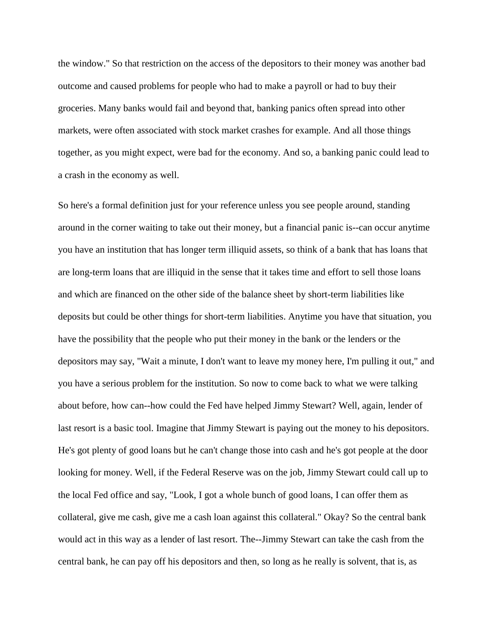the window." So that restriction on the access of the depositors to their money was another bad outcome and caused problems for people who had to make a payroll or had to buy their groceries. Many banks would fail and beyond that, banking panics often spread into other markets, were often associated with stock market crashes for example. And all those things together, as you might expect, were bad for the economy. And so, a banking panic could lead to a crash in the economy as well.

So here's a formal definition just for your reference unless you see people around, standing around in the corner waiting to take out their money, but a financial panic is--can occur anytime you have an institution that has longer term illiquid assets, so think of a bank that has loans that are long-term loans that are illiquid in the sense that it takes time and effort to sell those loans and which are financed on the other side of the balance sheet by short-term liabilities like deposits but could be other things for short-term liabilities. Anytime you have that situation, you have the possibility that the people who put their money in the bank or the lenders or the depositors may say, "Wait a minute, I don't want to leave my money here, I'm pulling it out," and you have a serious problem for the institution. So now to come back to what we were talking about before, how can--how could the Fed have helped Jimmy Stewart? Well, again, lender of last resort is a basic tool. Imagine that Jimmy Stewart is paying out the money to his depositors. He's got plenty of good loans but he can't change those into cash and he's got people at the door looking for money. Well, if the Federal Reserve was on the job, Jimmy Stewart could call up to the local Fed office and say, "Look, I got a whole bunch of good loans, I can offer them as collateral, give me cash, give me a cash loan against this collateral." Okay? So the central bank would act in this way as a lender of last resort. The--Jimmy Stewart can take the cash from the central bank, he can pay off his depositors and then, so long as he really is solvent, that is, as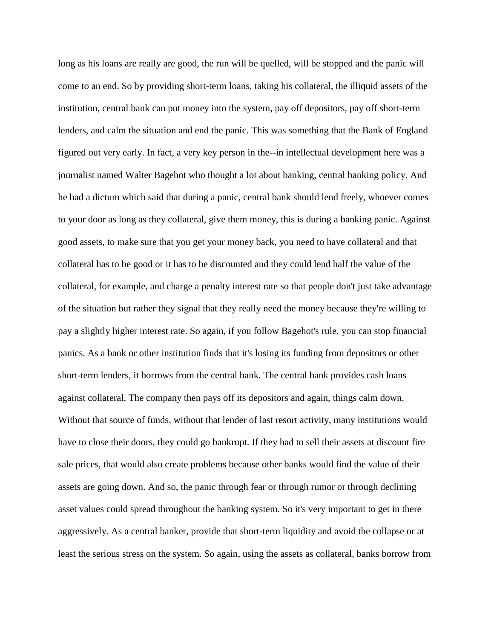long as his loans are really are good, the run will be quelled, will be stopped and the panic will come to an end. So by providing short-term loans, taking his collateral, the illiquid assets of the institution, central bank can put money into the system, pay off depositors, pay off short-term lenders, and calm the situation and end the panic. This was something that the Bank of England figured out very early. In fact, a very key person in the--in intellectual development here was a journalist named Walter Bagehot who thought a lot about banking, central banking policy. And he had a dictum which said that during a panic, central bank should lend freely, whoever comes to your door as long as they collateral, give them money, this is during a banking panic. Against good assets, to make sure that you get your money back, you need to have collateral and that collateral has to be good or it has to be discounted and they could lend half the value of the collateral, for example, and charge a penalty interest rate so that people don't just take advantage of the situation but rather they signal that they really need the money because they're willing to pay a slightly higher interest rate. So again, if you follow Bagehot's rule, you can stop financial panics. As a bank or other institution finds that it's losing its funding from depositors or other short-term lenders, it borrows from the central bank. The central bank provides cash loans against collateral. The company then pays off its depositors and again, things calm down. Without that source of funds, without that lender of last resort activity, many institutions would have to close their doors, they could go bankrupt. If they had to sell their assets at discount fire sale prices, that would also create problems because other banks would find the value of their assets are going down. And so, the panic through fear or through rumor or through declining asset values could spread throughout the banking system. So it's very important to get in there aggressively. As a central banker, provide that short-term liquidity and avoid the collapse or at least the serious stress on the system. So again, using the assets as collateral, banks borrow from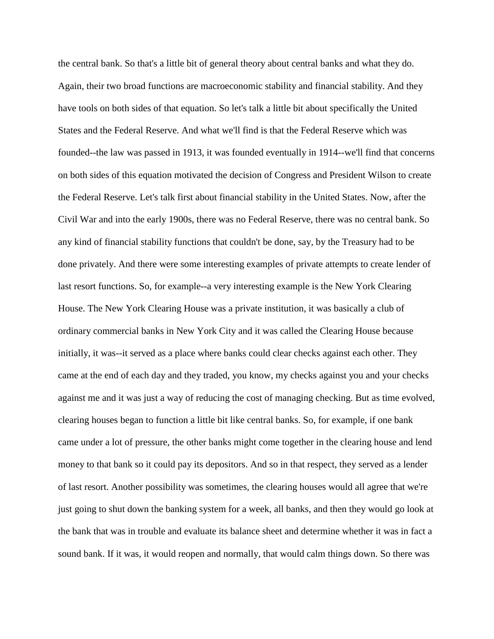the central bank. So that's a little bit of general theory about central banks and what they do. Again, their two broad functions are macroeconomic stability and financial stability. And they have tools on both sides of that equation. So let's talk a little bit about specifically the United States and the Federal Reserve. And what we'll find is that the Federal Reserve which was founded--the law was passed in 1913, it was founded eventually in 1914--we'll find that concerns on both sides of this equation motivated the decision of Congress and President Wilson to create the Federal Reserve. Let's talk first about financial stability in the United States. Now, after the Civil War and into the early 1900s, there was no Federal Reserve, there was no central bank. So any kind of financial stability functions that couldn't be done, say, by the Treasury had to be done privately. And there were some interesting examples of private attempts to create lender of last resort functions. So, for example--a very interesting example is the New York Clearing House. The New York Clearing House was a private institution, it was basically a club of ordinary commercial banks in New York City and it was called the Clearing House because initially, it was--it served as a place where banks could clear checks against each other. They came at the end of each day and they traded, you know, my checks against you and your checks against me and it was just a way of reducing the cost of managing checking. But as time evolved, clearing houses began to function a little bit like central banks. So, for example, if one bank came under a lot of pressure, the other banks might come together in the clearing house and lend money to that bank so it could pay its depositors. And so in that respect, they served as a lender of last resort. Another possibility was sometimes, the clearing houses would all agree that we're just going to shut down the banking system for a week, all banks, and then they would go look at the bank that was in trouble and evaluate its balance sheet and determine whether it was in fact a sound bank. If it was, it would reopen and normally, that would calm things down. So there was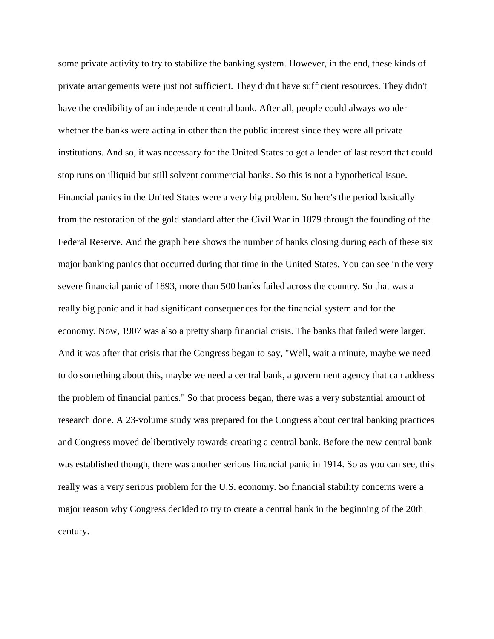some private activity to try to stabilize the banking system. However, in the end, these kinds of private arrangements were just not sufficient. They didn't have sufficient resources. They didn't have the credibility of an independent central bank. After all, people could always wonder whether the banks were acting in other than the public interest since they were all private institutions. And so, it was necessary for the United States to get a lender of last resort that could stop runs on illiquid but still solvent commercial banks. So this is not a hypothetical issue. Financial panics in the United States were a very big problem. So here's the period basically from the restoration of the gold standard after the Civil War in 1879 through the founding of the Federal Reserve. And the graph here shows the number of banks closing during each of these six major banking panics that occurred during that time in the United States. You can see in the very severe financial panic of 1893, more than 500 banks failed across the country. So that was a really big panic and it had significant consequences for the financial system and for the economy. Now, 1907 was also a pretty sharp financial crisis. The banks that failed were larger. And it was after that crisis that the Congress began to say, "Well, wait a minute, maybe we need to do something about this, maybe we need a central bank, a government agency that can address the problem of financial panics." So that process began, there was a very substantial amount of research done. A 23-volume study was prepared for the Congress about central banking practices and Congress moved deliberatively towards creating a central bank. Before the new central bank was established though, there was another serious financial panic in 1914. So as you can see, this really was a very serious problem for the U.S. economy. So financial stability concerns were a major reason why Congress decided to try to create a central bank in the beginning of the 20th century.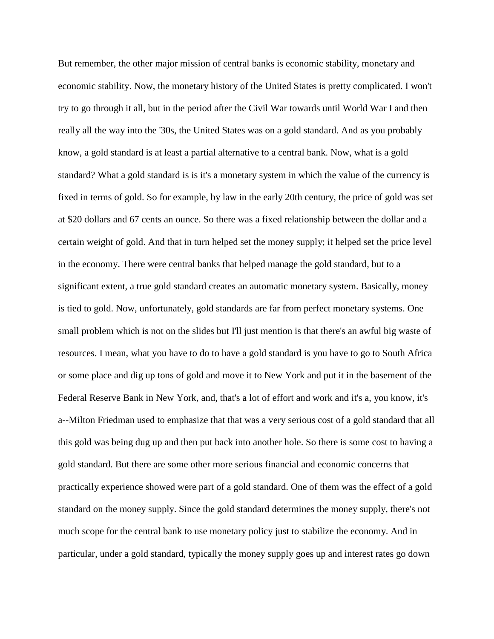But remember, the other major mission of central banks is economic stability, monetary and economic stability. Now, the monetary history of the United States is pretty complicated. I won't try to go through it all, but in the period after the Civil War towards until World War I and then really all the way into the '30s, the United States was on a gold standard. And as you probably know, a gold standard is at least a partial alternative to a central bank. Now, what is a gold standard? What a gold standard is is it's a monetary system in which the value of the currency is fixed in terms of gold. So for example, by law in the early 20th century, the price of gold was set at \$20 dollars and 67 cents an ounce. So there was a fixed relationship between the dollar and a certain weight of gold. And that in turn helped set the money supply; it helped set the price level in the economy. There were central banks that helped manage the gold standard, but to a significant extent, a true gold standard creates an automatic monetary system. Basically, money is tied to gold. Now, unfortunately, gold standards are far from perfect monetary systems. One small problem which is not on the slides but I'll just mention is that there's an awful big waste of resources. I mean, what you have to do to have a gold standard is you have to go to South Africa or some place and dig up tons of gold and move it to New York and put it in the basement of the Federal Reserve Bank in New York, and, that's a lot of effort and work and it's a, you know, it's a--Milton Friedman used to emphasize that that was a very serious cost of a gold standard that all this gold was being dug up and then put back into another hole. So there is some cost to having a gold standard. But there are some other more serious financial and economic concerns that practically experience showed were part of a gold standard. One of them was the effect of a gold standard on the money supply. Since the gold standard determines the money supply, there's not much scope for the central bank to use monetary policy just to stabilize the economy. And in particular, under a gold standard, typically the money supply goes up and interest rates go down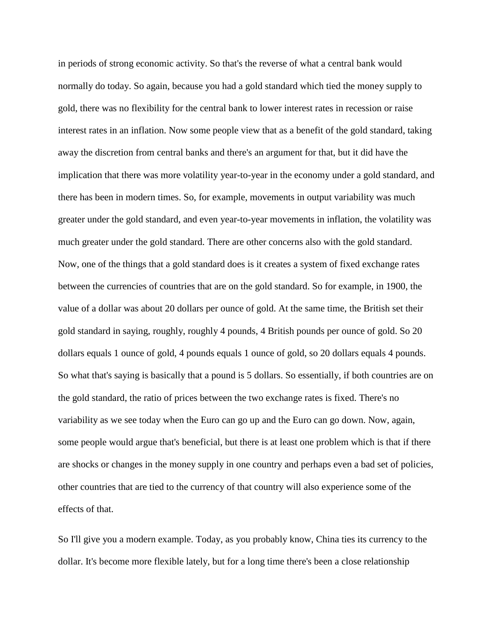in periods of strong economic activity. So that's the reverse of what a central bank would normally do today. So again, because you had a gold standard which tied the money supply to gold, there was no flexibility for the central bank to lower interest rates in recession or raise interest rates in an inflation. Now some people view that as a benefit of the gold standard, taking away the discretion from central banks and there's an argument for that, but it did have the implication that there was more volatility year-to-year in the economy under a gold standard, and there has been in modern times. So, for example, movements in output variability was much greater under the gold standard, and even year-to-year movements in inflation, the volatility was much greater under the gold standard. There are other concerns also with the gold standard. Now, one of the things that a gold standard does is it creates a system of fixed exchange rates between the currencies of countries that are on the gold standard. So for example, in 1900, the value of a dollar was about 20 dollars per ounce of gold. At the same time, the British set their gold standard in saying, roughly, roughly 4 pounds, 4 British pounds per ounce of gold. So 20 dollars equals 1 ounce of gold, 4 pounds equals 1 ounce of gold, so 20 dollars equals 4 pounds. So what that's saying is basically that a pound is 5 dollars. So essentially, if both countries are on the gold standard, the ratio of prices between the two exchange rates is fixed. There's no variability as we see today when the Euro can go up and the Euro can go down. Now, again, some people would argue that's beneficial, but there is at least one problem which is that if there are shocks or changes in the money supply in one country and perhaps even a bad set of policies, other countries that are tied to the currency of that country will also experience some of the effects of that.

So I'll give you a modern example. Today, as you probably know, China ties its currency to the dollar. It's become more flexible lately, but for a long time there's been a close relationship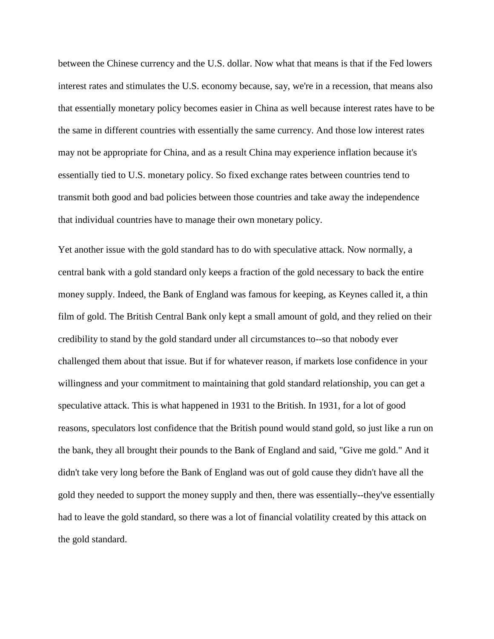between the Chinese currency and the U.S. dollar. Now what that means is that if the Fed lowers interest rates and stimulates the U.S. economy because, say, we're in a recession, that means also that essentially monetary policy becomes easier in China as well because interest rates have to be the same in different countries with essentially the same currency. And those low interest rates may not be appropriate for China, and as a result China may experience inflation because it's essentially tied to U.S. monetary policy. So fixed exchange rates between countries tend to transmit both good and bad policies between those countries and take away the independence that individual countries have to manage their own monetary policy.

Yet another issue with the gold standard has to do with speculative attack. Now normally, a central bank with a gold standard only keeps a fraction of the gold necessary to back the entire money supply. Indeed, the Bank of England was famous for keeping, as Keynes called it, a thin film of gold. The British Central Bank only kept a small amount of gold, and they relied on their credibility to stand by the gold standard under all circumstances to--so that nobody ever challenged them about that issue. But if for whatever reason, if markets lose confidence in your willingness and your commitment to maintaining that gold standard relationship, you can get a speculative attack. This is what happened in 1931 to the British. In 1931, for a lot of good reasons, speculators lost confidence that the British pound would stand gold, so just like a run on the bank, they all brought their pounds to the Bank of England and said, "Give me gold." And it didn't take very long before the Bank of England was out of gold cause they didn't have all the gold they needed to support the money supply and then, there was essentially--they've essentially had to leave the gold standard, so there was a lot of financial volatility created by this attack on the gold standard.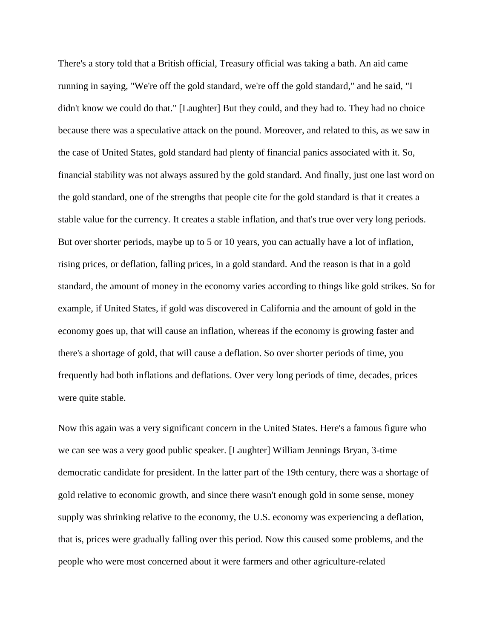There's a story told that a British official, Treasury official was taking a bath. An aid came running in saying, "We're off the gold standard, we're off the gold standard," and he said, "I didn't know we could do that." [Laughter] But they could, and they had to. They had no choice because there was a speculative attack on the pound. Moreover, and related to this, as we saw in the case of United States, gold standard had plenty of financial panics associated with it. So, financial stability was not always assured by the gold standard. And finally, just one last word on the gold standard, one of the strengths that people cite for the gold standard is that it creates a stable value for the currency. It creates a stable inflation, and that's true over very long periods. But over shorter periods, maybe up to 5 or 10 years, you can actually have a lot of inflation, rising prices, or deflation, falling prices, in a gold standard. And the reason is that in a gold standard, the amount of money in the economy varies according to things like gold strikes. So for example, if United States, if gold was discovered in California and the amount of gold in the economy goes up, that will cause an inflation, whereas if the economy is growing faster and there's a shortage of gold, that will cause a deflation. So over shorter periods of time, you frequently had both inflations and deflations. Over very long periods of time, decades, prices were quite stable.

Now this again was a very significant concern in the United States. Here's a famous figure who we can see was a very good public speaker. [Laughter] William Jennings Bryan, 3-time democratic candidate for president. In the latter part of the 19th century, there was a shortage of gold relative to economic growth, and since there wasn't enough gold in some sense, money supply was shrinking relative to the economy, the U.S. economy was experiencing a deflation, that is, prices were gradually falling over this period. Now this caused some problems, and the people who were most concerned about it were farmers and other agriculture-related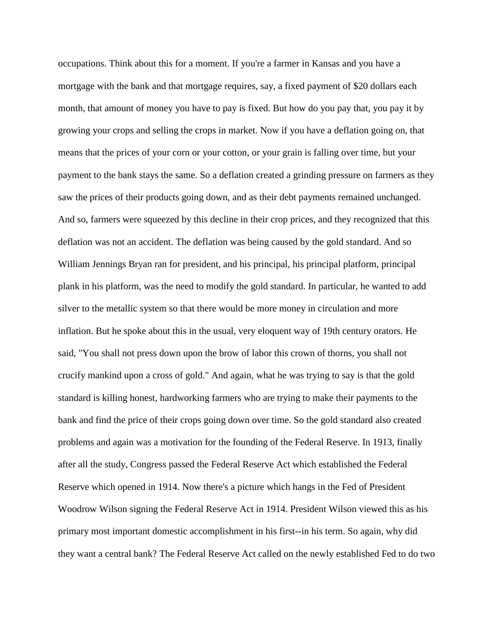occupations. Think about this for a moment. If you're a farmer in Kansas and you have a mortgage with the bank and that mortgage requires, say, a fixed payment of \$20 dollars each month, that amount of money you have to pay is fixed. But how do you pay that, you pay it by growing your crops and selling the crops in market. Now if you have a deflation going on, that means that the prices of your corn or your cotton, or your grain is falling over time, but your payment to the bank stays the same. So a deflation created a grinding pressure on farmers as they saw the prices of their products going down, and as their debt payments remained unchanged. And so, farmers were squeezed by this decline in their crop prices, and they recognized that this deflation was not an accident. The deflation was being caused by the gold standard. And so William Jennings Bryan ran for president, and his principal, his principal platform, principal plank in his platform, was the need to modify the gold standard. In particular, he wanted to add silver to the metallic system so that there would be more money in circulation and more inflation. But he spoke about this in the usual, very eloquent way of 19th century orators. He said, "You shall not press down upon the brow of labor this crown of thorns, you shall not crucify mankind upon a cross of gold." And again, what he was trying to say is that the gold standard is killing honest, hardworking farmers who are trying to make their payments to the bank and find the price of their crops going down over time. So the gold standard also created problems and again was a motivation for the founding of the Federal Reserve. In 1913, finally after all the study, Congress passed the Federal Reserve Act which established the Federal Reserve which opened in 1914. Now there's a picture which hangs in the Fed of President Woodrow Wilson signing the Federal Reserve Act in 1914. President Wilson viewed this as his primary most important domestic accomplishment in his first--in his term. So again, why did they want a central bank? The Federal Reserve Act called on the newly established Fed to do two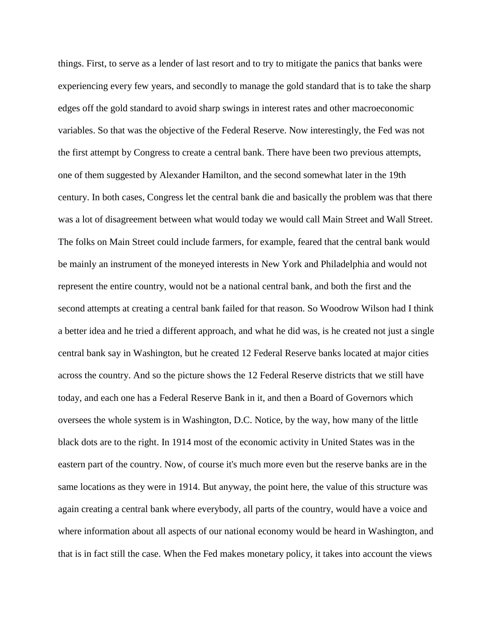things. First, to serve as a lender of last resort and to try to mitigate the panics that banks were experiencing every few years, and secondly to manage the gold standard that is to take the sharp edges off the gold standard to avoid sharp swings in interest rates and other macroeconomic variables. So that was the objective of the Federal Reserve. Now interestingly, the Fed was not the first attempt by Congress to create a central bank. There have been two previous attempts, one of them suggested by Alexander Hamilton, and the second somewhat later in the 19th century. In both cases, Congress let the central bank die and basically the problem was that there was a lot of disagreement between what would today we would call Main Street and Wall Street. The folks on Main Street could include farmers, for example, feared that the central bank would be mainly an instrument of the moneyed interests in New York and Philadelphia and would not represent the entire country, would not be a national central bank, and both the first and the second attempts at creating a central bank failed for that reason. So Woodrow Wilson had I think a better idea and he tried a different approach, and what he did was, is he created not just a single central bank say in Washington, but he created 12 Federal Reserve banks located at major cities across the country. And so the picture shows the 12 Federal Reserve districts that we still have today, and each one has a Federal Reserve Bank in it, and then a Board of Governors which oversees the whole system is in Washington, D.C. Notice, by the way, how many of the little black dots are to the right. In 1914 most of the economic activity in United States was in the eastern part of the country. Now, of course it's much more even but the reserve banks are in the same locations as they were in 1914. But anyway, the point here, the value of this structure was again creating a central bank where everybody, all parts of the country, would have a voice and where information about all aspects of our national economy would be heard in Washington, and that is in fact still the case. When the Fed makes monetary policy, it takes into account the views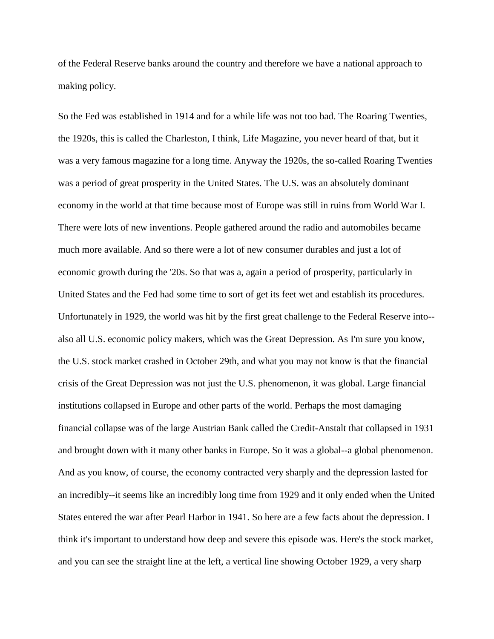of the Federal Reserve banks around the country and therefore we have a national approach to making policy.

So the Fed was established in 1914 and for a while life was not too bad. The Roaring Twenties, the 1920s, this is called the Charleston, I think, Life Magazine, you never heard of that, but it was a very famous magazine for a long time. Anyway the 1920s, the so-called Roaring Twenties was a period of great prosperity in the United States. The U.S. was an absolutely dominant economy in the world at that time because most of Europe was still in ruins from World War I. There were lots of new inventions. People gathered around the radio and automobiles became much more available. And so there were a lot of new consumer durables and just a lot of economic growth during the '20s. So that was a, again a period of prosperity, particularly in United States and the Fed had some time to sort of get its feet wet and establish its procedures. Unfortunately in 1929, the world was hit by the first great challenge to the Federal Reserve into- also all U.S. economic policy makers, which was the Great Depression. As I'm sure you know, the U.S. stock market crashed in October 29th, and what you may not know is that the financial crisis of the Great Depression was not just the U.S. phenomenon, it was global. Large financial institutions collapsed in Europe and other parts of the world. Perhaps the most damaging financial collapse was of the large Austrian Bank called the Credit-Anstalt that collapsed in 1931 and brought down with it many other banks in Europe. So it was a global--a global phenomenon. And as you know, of course, the economy contracted very sharply and the depression lasted for an incredibly--it seems like an incredibly long time from 1929 and it only ended when the United States entered the war after Pearl Harbor in 1941. So here are a few facts about the depression. I think it's important to understand how deep and severe this episode was. Here's the stock market, and you can see the straight line at the left, a vertical line showing October 1929, a very sharp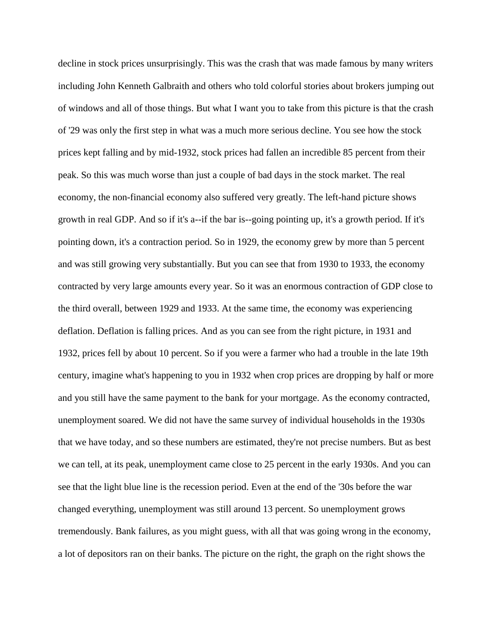decline in stock prices unsurprisingly. This was the crash that was made famous by many writers including John Kenneth Galbraith and others who told colorful stories about brokers jumping out of windows and all of those things. But what I want you to take from this picture is that the crash of '29 was only the first step in what was a much more serious decline. You see how the stock prices kept falling and by mid-1932, stock prices had fallen an incredible 85 percent from their peak. So this was much worse than just a couple of bad days in the stock market. The real economy, the non-financial economy also suffered very greatly. The left-hand picture shows growth in real GDP. And so if it's a--if the bar is--going pointing up, it's a growth period. If it's pointing down, it's a contraction period. So in 1929, the economy grew by more than 5 percent and was still growing very substantially. But you can see that from 1930 to 1933, the economy contracted by very large amounts every year. So it was an enormous contraction of GDP close to the third overall, between 1929 and 1933. At the same time, the economy was experiencing deflation. Deflation is falling prices. And as you can see from the right picture, in 1931 and 1932, prices fell by about 10 percent. So if you were a farmer who had a trouble in the late 19th century, imagine what's happening to you in 1932 when crop prices are dropping by half or more and you still have the same payment to the bank for your mortgage. As the economy contracted, unemployment soared. We did not have the same survey of individual households in the 1930s that we have today, and so these numbers are estimated, they're not precise numbers. But as best we can tell, at its peak, unemployment came close to 25 percent in the early 1930s. And you can see that the light blue line is the recession period. Even at the end of the '30s before the war changed everything, unemployment was still around 13 percent. So unemployment grows tremendously. Bank failures, as you might guess, with all that was going wrong in the economy, a lot of depositors ran on their banks. The picture on the right, the graph on the right shows the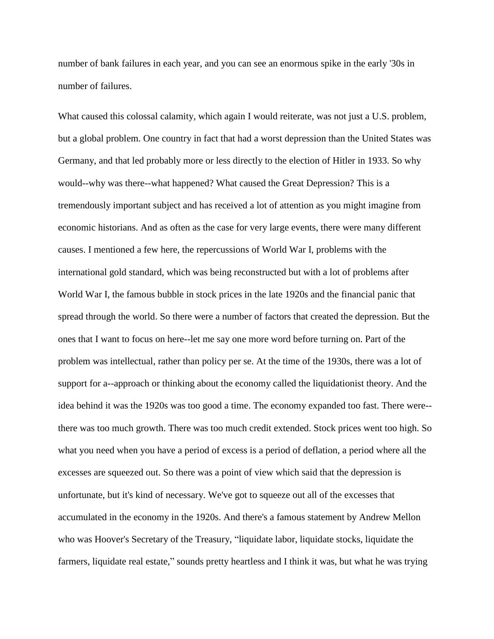number of bank failures in each year, and you can see an enormous spike in the early '30s in number of failures.

What caused this colossal calamity, which again I would reiterate, was not just a U.S. problem, but a global problem. One country in fact that had a worst depression than the United States was Germany, and that led probably more or less directly to the election of Hitler in 1933. So why would--why was there--what happened? What caused the Great Depression? This is a tremendously important subject and has received a lot of attention as you might imagine from economic historians. And as often as the case for very large events, there were many different causes. I mentioned a few here, the repercussions of World War I, problems with the international gold standard, which was being reconstructed but with a lot of problems after World War I, the famous bubble in stock prices in the late 1920s and the financial panic that spread through the world. So there were a number of factors that created the depression. But the ones that I want to focus on here--let me say one more word before turning on. Part of the problem was intellectual, rather than policy per se. At the time of the 1930s, there was a lot of support for a--approach or thinking about the economy called the liquidationist theory. And the idea behind it was the 1920s was too good a time. The economy expanded too fast. There were- there was too much growth. There was too much credit extended. Stock prices went too high. So what you need when you have a period of excess is a period of deflation, a period where all the excesses are squeezed out. So there was a point of view which said that the depression is unfortunate, but it's kind of necessary. We've got to squeeze out all of the excesses that accumulated in the economy in the 1920s. And there's a famous statement by Andrew Mellon who was Hoover's Secretary of the Treasury, "liquidate labor, liquidate stocks, liquidate the farmers, liquidate real estate," sounds pretty heartless and I think it was, but what he was trying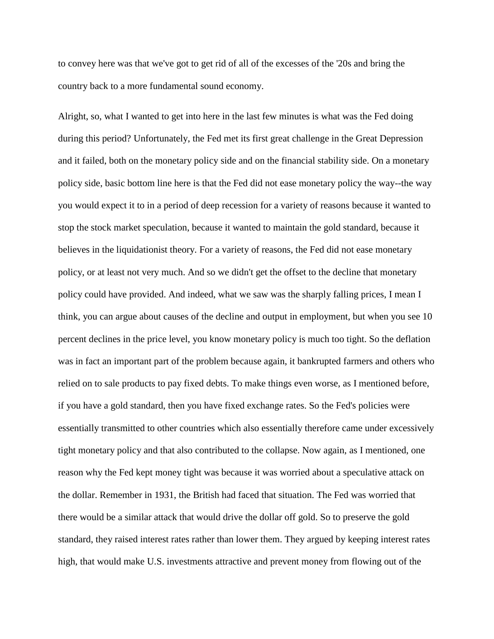to convey here was that we've got to get rid of all of the excesses of the '20s and bring the country back to a more fundamental sound economy.

Alright, so, what I wanted to get into here in the last few minutes is what was the Fed doing during this period? Unfortunately, the Fed met its first great challenge in the Great Depression and it failed, both on the monetary policy side and on the financial stability side. On a monetary policy side, basic bottom line here is that the Fed did not ease monetary policy the way--the way you would expect it to in a period of deep recession for a variety of reasons because it wanted to stop the stock market speculation, because it wanted to maintain the gold standard, because it believes in the liquidationist theory. For a variety of reasons, the Fed did not ease monetary policy, or at least not very much. And so we didn't get the offset to the decline that monetary policy could have provided. And indeed, what we saw was the sharply falling prices, I mean I think, you can argue about causes of the decline and output in employment, but when you see 10 percent declines in the price level, you know monetary policy is much too tight. So the deflation was in fact an important part of the problem because again, it bankrupted farmers and others who relied on to sale products to pay fixed debts. To make things even worse, as I mentioned before, if you have a gold standard, then you have fixed exchange rates. So the Fed's policies were essentially transmitted to other countries which also essentially therefore came under excessively tight monetary policy and that also contributed to the collapse. Now again, as I mentioned, one reason why the Fed kept money tight was because it was worried about a speculative attack on the dollar. Remember in 1931, the British had faced that situation. The Fed was worried that there would be a similar attack that would drive the dollar off gold. So to preserve the gold standard, they raised interest rates rather than lower them. They argued by keeping interest rates high, that would make U.S. investments attractive and prevent money from flowing out of the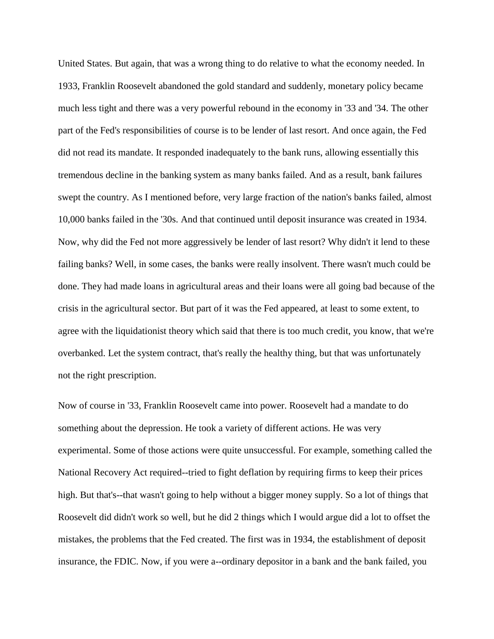United States. But again, that was a wrong thing to do relative to what the economy needed. In 1933, Franklin Roosevelt abandoned the gold standard and suddenly, monetary policy became much less tight and there was a very powerful rebound in the economy in '33 and '34. The other part of the Fed's responsibilities of course is to be lender of last resort. And once again, the Fed did not read its mandate. It responded inadequately to the bank runs, allowing essentially this tremendous decline in the banking system as many banks failed. And as a result, bank failures swept the country. As I mentioned before, very large fraction of the nation's banks failed, almost 10,000 banks failed in the '30s. And that continued until deposit insurance was created in 1934. Now, why did the Fed not more aggressively be lender of last resort? Why didn't it lend to these failing banks? Well, in some cases, the banks were really insolvent. There wasn't much could be done. They had made loans in agricultural areas and their loans were all going bad because of the crisis in the agricultural sector. But part of it was the Fed appeared, at least to some extent, to agree with the liquidationist theory which said that there is too much credit, you know, that we're overbanked. Let the system contract, that's really the healthy thing, but that was unfortunately not the right prescription.

Now of course in '33, Franklin Roosevelt came into power. Roosevelt had a mandate to do something about the depression. He took a variety of different actions. He was very experimental. Some of those actions were quite unsuccessful. For example, something called the National Recovery Act required--tried to fight deflation by requiring firms to keep their prices high. But that's--that wasn't going to help without a bigger money supply. So a lot of things that Roosevelt did didn't work so well, but he did 2 things which I would argue did a lot to offset the mistakes, the problems that the Fed created. The first was in 1934, the establishment of deposit insurance, the FDIC. Now, if you were a--ordinary depositor in a bank and the bank failed, you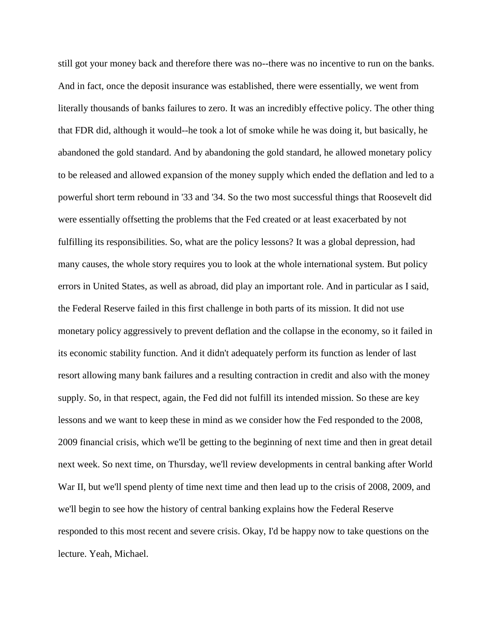still got your money back and therefore there was no--there was no incentive to run on the banks. And in fact, once the deposit insurance was established, there were essentially, we went from literally thousands of banks failures to zero. It was an incredibly effective policy. The other thing that FDR did, although it would--he took a lot of smoke while he was doing it, but basically, he abandoned the gold standard. And by abandoning the gold standard, he allowed monetary policy to be released and allowed expansion of the money supply which ended the deflation and led to a powerful short term rebound in '33 and '34. So the two most successful things that Roosevelt did were essentially offsetting the problems that the Fed created or at least exacerbated by not fulfilling its responsibilities. So, what are the policy lessons? It was a global depression, had many causes, the whole story requires you to look at the whole international system. But policy errors in United States, as well as abroad, did play an important role. And in particular as I said, the Federal Reserve failed in this first challenge in both parts of its mission. It did not use monetary policy aggressively to prevent deflation and the collapse in the economy, so it failed in its economic stability function. And it didn't adequately perform its function as lender of last resort allowing many bank failures and a resulting contraction in credit and also with the money supply. So, in that respect, again, the Fed did not fulfill its intended mission. So these are key lessons and we want to keep these in mind as we consider how the Fed responded to the 2008, 2009 financial crisis, which we'll be getting to the beginning of next time and then in great detail next week. So next time, on Thursday, we'll review developments in central banking after World War II, but we'll spend plenty of time next time and then lead up to the crisis of 2008, 2009, and we'll begin to see how the history of central banking explains how the Federal Reserve responded to this most recent and severe crisis. Okay, I'd be happy now to take questions on the lecture. Yeah, Michael.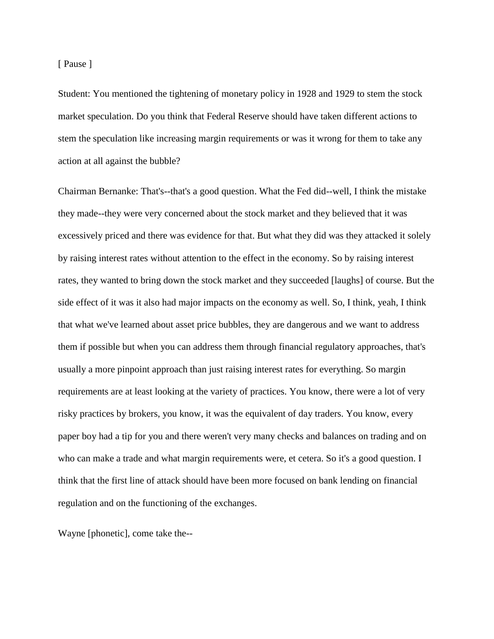[ Pause ]

Student: You mentioned the tightening of monetary policy in 1928 and 1929 to stem the stock market speculation. Do you think that Federal Reserve should have taken different actions to stem the speculation like increasing margin requirements or was it wrong for them to take any action at all against the bubble?

Chairman Bernanke: That's--that's a good question. What the Fed did--well, I think the mistake they made--they were very concerned about the stock market and they believed that it was excessively priced and there was evidence for that. But what they did was they attacked it solely by raising interest rates without attention to the effect in the economy. So by raising interest rates, they wanted to bring down the stock market and they succeeded [laughs] of course. But the side effect of it was it also had major impacts on the economy as well. So, I think, yeah, I think that what we've learned about asset price bubbles, they are dangerous and we want to address them if possible but when you can address them through financial regulatory approaches, that's usually a more pinpoint approach than just raising interest rates for everything. So margin requirements are at least looking at the variety of practices. You know, there were a lot of very risky practices by brokers, you know, it was the equivalent of day traders. You know, every paper boy had a tip for you and there weren't very many checks and balances on trading and on who can make a trade and what margin requirements were, et cetera. So it's a good question. I think that the first line of attack should have been more focused on bank lending on financial regulation and on the functioning of the exchanges.

Wayne [phonetic], come take the--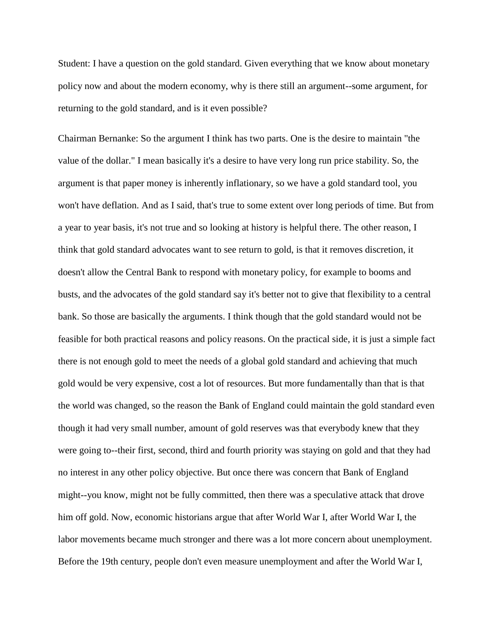Student: I have a question on the gold standard. Given everything that we know about monetary policy now and about the modern economy, why is there still an argument--some argument, for returning to the gold standard, and is it even possible?

Chairman Bernanke: So the argument I think has two parts. One is the desire to maintain "the value of the dollar." I mean basically it's a desire to have very long run price stability. So, the argument is that paper money is inherently inflationary, so we have a gold standard tool, you won't have deflation. And as I said, that's true to some extent over long periods of time. But from a year to year basis, it's not true and so looking at history is helpful there. The other reason, I think that gold standard advocates want to see return to gold, is that it removes discretion, it doesn't allow the Central Bank to respond with monetary policy, for example to booms and busts, and the advocates of the gold standard say it's better not to give that flexibility to a central bank. So those are basically the arguments. I think though that the gold standard would not be feasible for both practical reasons and policy reasons. On the practical side, it is just a simple fact there is not enough gold to meet the needs of a global gold standard and achieving that much gold would be very expensive, cost a lot of resources. But more fundamentally than that is that the world was changed, so the reason the Bank of England could maintain the gold standard even though it had very small number, amount of gold reserves was that everybody knew that they were going to--their first, second, third and fourth priority was staying on gold and that they had no interest in any other policy objective. But once there was concern that Bank of England might--you know, might not be fully committed, then there was a speculative attack that drove him off gold. Now, economic historians argue that after World War I, after World War I, the labor movements became much stronger and there was a lot more concern about unemployment. Before the 19th century, people don't even measure unemployment and after the World War I,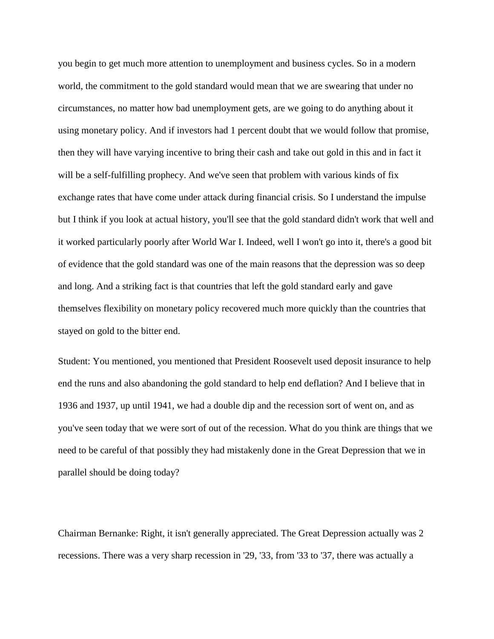you begin to get much more attention to unemployment and business cycles. So in a modern world, the commitment to the gold standard would mean that we are swearing that under no circumstances, no matter how bad unemployment gets, are we going to do anything about it using monetary policy. And if investors had 1 percent doubt that we would follow that promise, then they will have varying incentive to bring their cash and take out gold in this and in fact it will be a self-fulfilling prophecy. And we've seen that problem with various kinds of fix exchange rates that have come under attack during financial crisis. So I understand the impulse but I think if you look at actual history, you'll see that the gold standard didn't work that well and it worked particularly poorly after World War I. Indeed, well I won't go into it, there's a good bit of evidence that the gold standard was one of the main reasons that the depression was so deep and long. And a striking fact is that countries that left the gold standard early and gave themselves flexibility on monetary policy recovered much more quickly than the countries that stayed on gold to the bitter end.

Student: You mentioned, you mentioned that President Roosevelt used deposit insurance to help end the runs and also abandoning the gold standard to help end deflation? And I believe that in 1936 and 1937, up until 1941, we had a double dip and the recession sort of went on, and as you've seen today that we were sort of out of the recession. What do you think are things that we need to be careful of that possibly they had mistakenly done in the Great Depression that we in parallel should be doing today?

Chairman Bernanke: Right, it isn't generally appreciated. The Great Depression actually was 2 recessions. There was a very sharp recession in '29, '33, from '33 to '37, there was actually a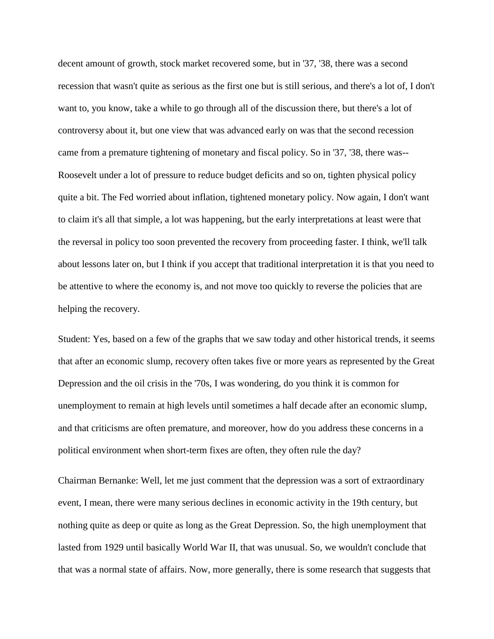decent amount of growth, stock market recovered some, but in '37, '38, there was a second recession that wasn't quite as serious as the first one but is still serious, and there's a lot of, I don't want to, you know, take a while to go through all of the discussion there, but there's a lot of controversy about it, but one view that was advanced early on was that the second recession came from a premature tightening of monetary and fiscal policy. So in '37, '38, there was-- Roosevelt under a lot of pressure to reduce budget deficits and so on, tighten physical policy quite a bit. The Fed worried about inflation, tightened monetary policy. Now again, I don't want to claim it's all that simple, a lot was happening, but the early interpretations at least were that the reversal in policy too soon prevented the recovery from proceeding faster. I think, we'll talk about lessons later on, but I think if you accept that traditional interpretation it is that you need to be attentive to where the economy is, and not move too quickly to reverse the policies that are helping the recovery.

Student: Yes, based on a few of the graphs that we saw today and other historical trends, it seems that after an economic slump, recovery often takes five or more years as represented by the Great Depression and the oil crisis in the '70s, I was wondering, do you think it is common for unemployment to remain at high levels until sometimes a half decade after an economic slump, and that criticisms are often premature, and moreover, how do you address these concerns in a political environment when short-term fixes are often, they often rule the day?

Chairman Bernanke: Well, let me just comment that the depression was a sort of extraordinary event, I mean, there were many serious declines in economic activity in the 19th century, but nothing quite as deep or quite as long as the Great Depression. So, the high unemployment that lasted from 1929 until basically World War II, that was unusual. So, we wouldn't conclude that that was a normal state of affairs. Now, more generally, there is some research that suggests that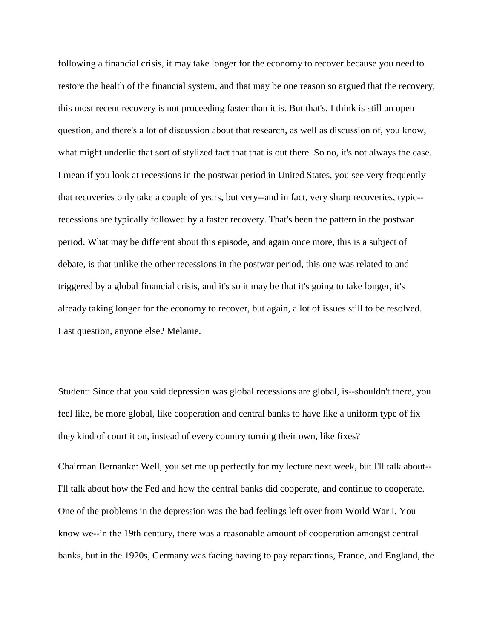following a financial crisis, it may take longer for the economy to recover because you need to restore the health of the financial system, and that may be one reason so argued that the recovery, this most recent recovery is not proceeding faster than it is. But that's, I think is still an open question, and there's a lot of discussion about that research, as well as discussion of, you know, what might underlie that sort of stylized fact that that is out there. So no, it's not always the case. I mean if you look at recessions in the postwar period in United States, you see very frequently that recoveries only take a couple of years, but very--and in fact, very sharp recoveries, typic- recessions are typically followed by a faster recovery. That's been the pattern in the postwar period. What may be different about this episode, and again once more, this is a subject of debate, is that unlike the other recessions in the postwar period, this one was related to and triggered by a global financial crisis, and it's so it may be that it's going to take longer, it's already taking longer for the economy to recover, but again, a lot of issues still to be resolved. Last question, anyone else? Melanie.

Student: Since that you said depression was global recessions are global, is--shouldn't there, you feel like, be more global, like cooperation and central banks to have like a uniform type of fix they kind of court it on, instead of every country turning their own, like fixes?

Chairman Bernanke: Well, you set me up perfectly for my lecture next week, but I'll talk about-- I'll talk about how the Fed and how the central banks did cooperate, and continue to cooperate. One of the problems in the depression was the bad feelings left over from World War I. You know we--in the 19th century, there was a reasonable amount of cooperation amongst central banks, but in the 1920s, Germany was facing having to pay reparations, France, and England, the